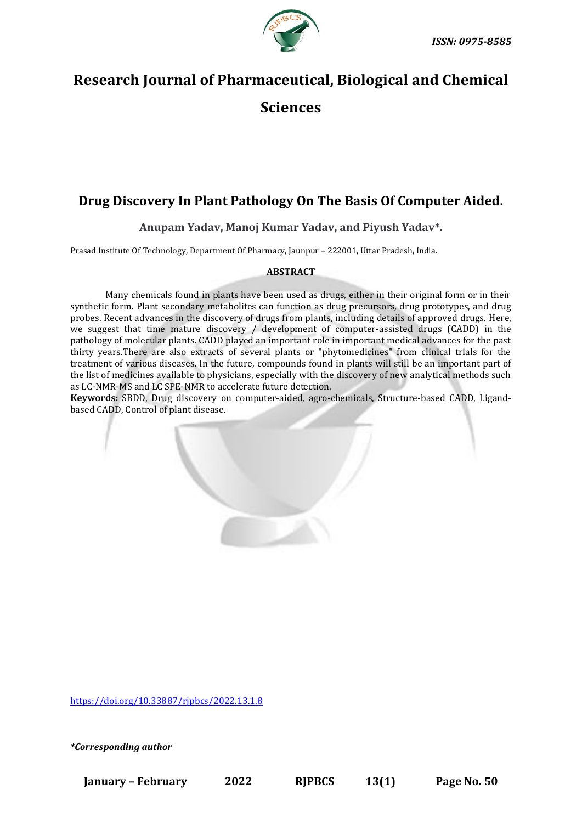

# **Research Journal of Pharmaceutical, Biological and Chemical Sciences**

# **Drug Discovery In Plant Pathology On The Basis Of Computer Aided.**

**Anupam Yadav, Manoj Kumar Yadav, and Piyush Yadav\*.**

Prasad Institute Of Technology, Department Of Pharmacy, Jaunpur – 222001, Uttar Pradesh, India.

# **ABSTRACT**

Many chemicals found in plants have been used as drugs, either in their original form or in their synthetic form. Plant secondary metabolites can function as drug precursors, drug prototypes, and drug probes. Recent advances in the discovery of drugs from plants, including details of approved drugs. Here, we suggest that time mature discovery / development of computer-assisted drugs (CADD) in the pathology of molecular plants. CADD played an important role in important medical advances for the past thirty years.There are also extracts of several plants or "phytomedicines" from clinical trials for the treatment of various diseases. In the future, compounds found in plants will still be an important part of the list of medicines available to physicians, especially with the discovery of new analytical methods such as LC-NMR-MS and LC SPE-NMR to accelerate future detection.

**Keywords:** SBDD, Drug discovery on computer-aided, agro-chemicals, Structure-based CADD, Ligandbased CADD, Control of plant disease.

[https://doi.org/10.33887/rjpbcs/2022.13.1.8](https://doi.org/10.33887/rjpbcs/2022.13.1.1)

*\*Corresponding author*

**January – February 2022 RJPBCS 13(1) Page No. 50**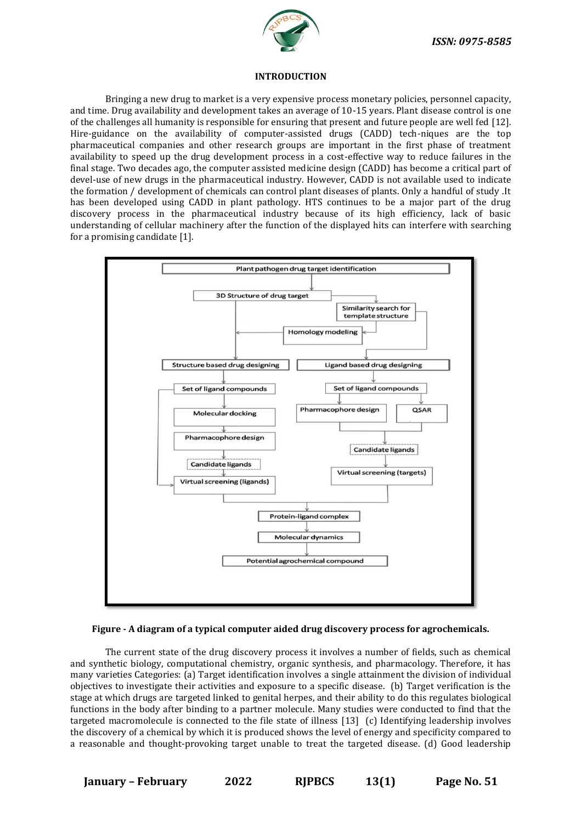

#### **INTRODUCTION**

Bringing a new drug to market is a very expensive process monetary policies, personnel capacity, and time. Drug availability and development takes an average of 10-15 years. Plant disease control is one of the challenges all humanity is responsible for ensuring that present and future people are well fed [12]. Hire-guidance on the availability of computer-assisted drugs (CADD) tech-niques are the top pharmaceutical companies and other research groups are important in the first phase of treatment availability to speed up the drug development process in a cost-effective way to reduce failures in the final stage. Two decades ago, the computer assisted medicine design (CADD) has become a critical part of devel-use of new drugs in the pharmaceutical industry. However, CADD is not available used to indicate the formation / development of chemicals can control plant diseases of plants. Only a handful of study .It has been developed using CADD in plant pathology. HTS continues to be a major part of the drug discovery process in the pharmaceutical industry because of its high efficiency, lack of basic understanding of cellular machinery after the function of the displayed hits can interfere with searching for a promising candidate [1].



#### **Figure - A diagram of a typical computer aided drug discovery process for agrochemicals.**

The current state of the drug discovery process it involves a number of fields, such as chemical and synthetic biology, computational chemistry, organic synthesis, and pharmacology. Therefore, it has many varieties Categories: (a) Target identification involves a single attainment the division of individual objectives to investigate their activities and exposure to a specific disease. (b) Target verification is the stage at which drugs are targeted linked to genital herpes, and their ability to do this regulates biological functions in the body after binding to a partner molecule. Many studies were conducted to find that the targeted macromolecule is connected to the file state of illness [13] (c) Identifying leadership involves the discovery of a chemical by which it is produced shows the level of energy and specificity compared to a reasonable and thought-provoking target unable to treat the targeted disease. (d) Good leadership

**January – February 2022 RJPBCS 13(1) Page No. 51**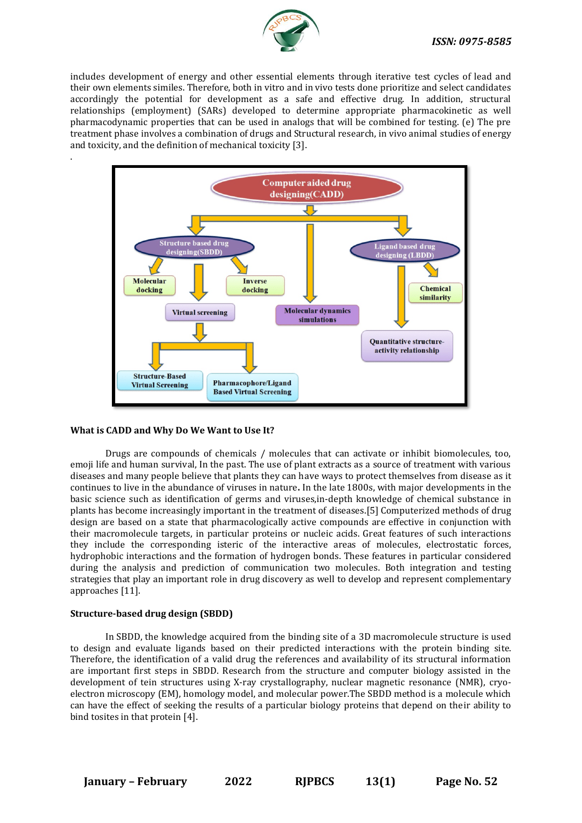

includes development of energy and other essential elements through iterative test cycles of lead and their own elements similes. Therefore, both in vitro and in vivo tests done prioritize and select candidates accordingly the potential for development as a safe and effective drug. In addition, structural relationships (employment) (SARs) developed to determine appropriate pharmacokinetic as well pharmacodynamic properties that can be used in analogs that will be combined for testing. (e) The pre treatment phase involves a combination of drugs and Structural research, in vivo animal studies of energy and toxicity, and the definition of mechanical toxicity [3].



#### **What is CADD and Why Do We Want to Use It?**

.

Drugs are compounds of chemicals / molecules that can activate or inhibit biomolecules, too, emoji life and human survival, In the past. The use of plant extracts as a source of treatment with various diseases and many people believe that plants they can have ways to protect themselves from disease as it continues to live in the abundance of viruses in nature**.** In the late 1800s, with major developments in the basic science such as identification of germs and viruses,in-depth knowledge of chemical substance in plants has become increasingly important in the treatment of diseases.[5] Computerized methods of drug design are based on a state that pharmacologically active compounds are effective in conjunction with their macromolecule targets, in particular proteins or nucleic acids. Great features of such interactions they include the corresponding isteric of the interactive areas of molecules, electrostatic forces, hydrophobic interactions and the formation of hydrogen bonds. These features in particular considered during the analysis and prediction of communication two molecules. Both integration and testing strategies that play an important role in drug discovery as well to develop and represent complementary approaches [11].

#### **Structure-based drug design (SBDD)**

In SBDD, the knowledge acquired from the binding site of a 3D macromolecule structure is used to design and evaluate ligands based on their predicted interactions with the protein binding site. Therefore, the identification of a valid drug the references and availability of its structural information are important first steps in SBDD. Research from the structure and computer biology assisted in the development of tein structures using X-ray crystallography, nuclear magnetic resonance (NMR), cryoelectron microscopy (EM), homology model, and molecular power.The SBDD method is a molecule which can have the effect of seeking the results of a particular biology proteins that depend on their ability to bind tosites in that protein [4].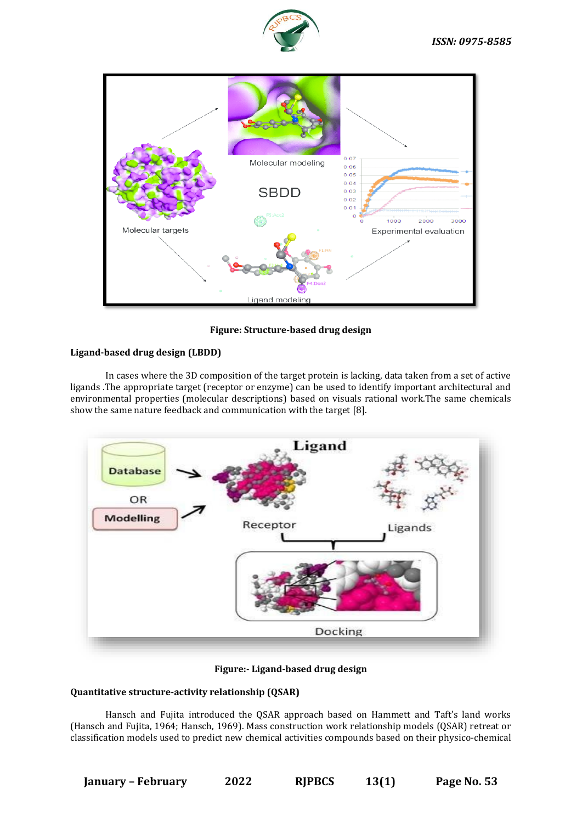



**Figure: Structure-based drug design**

# **Ligand-based drug design (LBDD)**

In cases where the 3D composition of the target protein is lacking, data taken from a set of active ligands .The appropriate target (receptor or enzyme) can be used to identify important architectural and environmental properties (molecular descriptions) based on visuals rational work.The same chemicals show the same nature feedback and communication with the target [8].



**Figure:- Ligand-based drug design**

# **Quantitative structure-activity relationship (QSAR)**

Hansch and Fujita introduced the QSAR approach based on Hammett and Taft's land works (Hansch and Fujita, 1964; Hansch, 1969). Mass construction work relationship models (QSAR) retreat or classification models used to predict new chemical activities compounds based on their physico-chemical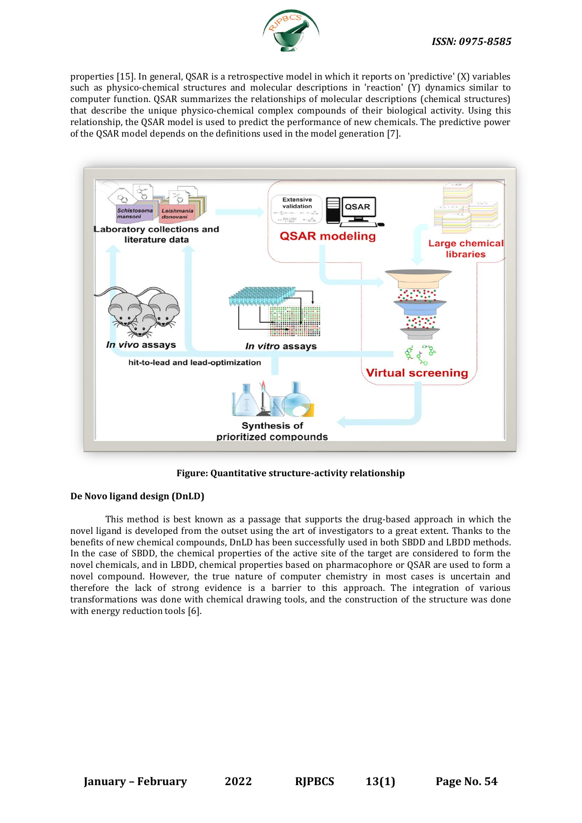

properties [15]. In general, QSAR is a retrospective model in which it reports on 'predictive' (X) variables such as physico-chemical structures and molecular descriptions in 'reaction' (Y) dynamics similar to computer function. QSAR summarizes the relationships of molecular descriptions (chemical structures) that describe the unique physico-chemical complex compounds of their biological activity. Using this relationship, the QSAR model is used to predict the performance of new chemicals. The predictive power of the QSAR model depends on the definitions used in the model generation [7].



**Figure: Quantitative structure-activity relationship**

# **De Novo ligand design (DnLD)**

This method is best known as a passage that supports the drug-based approach in which the novel ligand is developed from the outset using the art of investigators to a great extent. Thanks to the benefits of new chemical compounds, DnLD has been successfully used in both SBDD and LBDD methods. In the case of SBDD, the chemical properties of the active site of the target are considered to form the novel chemicals, and in LBDD, chemical properties based on pharmacophore or QSAR are used to form a novel compound. However, the true nature of computer chemistry in most cases is uncertain and therefore the lack of strong evidence is a barrier to this approach. The integration of various transformations was done with chemical drawing tools, and the construction of the structure was done with energy reduction tools [6].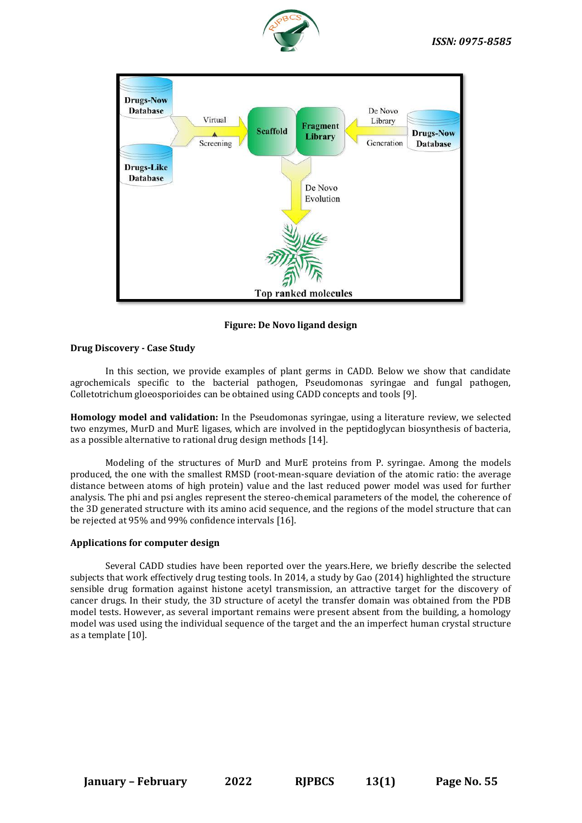



**Figure: De Novo ligand design**

### **Drug Discovery - Case Study**

In this section, we provide examples of plant germs in CADD. Below we show that candidate agrochemicals specific to the bacterial pathogen, Pseudomonas syringae and fungal pathogen, Colletotrichum gloeosporioides can be obtained using CADD concepts and tools [9].

**Homology model and validation:** In the Pseudomonas syringae, using a literature review, we selected two enzymes, MurD and MurE ligases, which are involved in the peptidoglycan biosynthesis of bacteria, as a possible alternative to rational drug design methods [14].

Modeling of the structures of MurD and MurE proteins from P. syringae. Among the models produced, the one with the smallest RMSD (root-mean-square deviation of the atomic ratio: the average distance between atoms of high protein) value and the last reduced power model was used for further analysis. The phi and psi angles represent the stereo-chemical parameters of the model, the coherence of the 3D generated structure with its amino acid sequence, and the regions of the model structure that can be rejected at 95% and 99% confidence intervals [16].

#### **Applications for computer design**

Several CADD studies have been reported over the years.Here, we briefly describe the selected subjects that work effectively drug testing tools. In 2014, a study by Gao (2014) highlighted the structure sensible drug formation against histone acetyl transmission, an attractive target for the discovery of cancer drugs. In their study, the 3D structure of acetyl the transfer domain was obtained from the PDB model tests. However, as several important remains were present absent from the building, a homology model was used using the individual sequence of the target and the an imperfect human crystal structure as a template [10].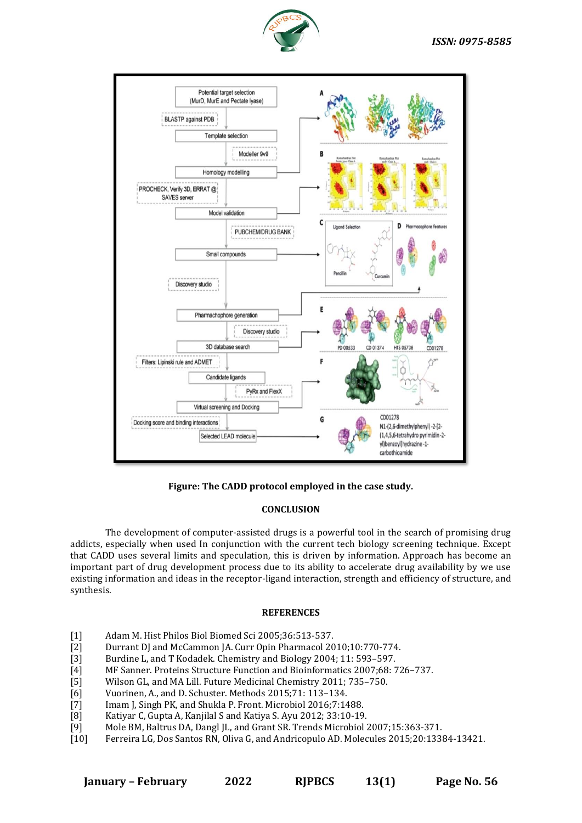



**Figure: The CADD protocol employed in the case study.**

# **CONCLUSION**

The development of computer-assisted drugs is a powerful tool in the search of promising drug addicts, especially when used In conjunction with the current tech biology screening technique. Except that CADD uses several limits and speculation, this is driven by information. Approach has become an important part of drug development process due to its ability to accelerate drug availability by we use existing information and ideas in the receptor-ligand interaction, strength and efficiency of structure, and synthesis.

#### **REFERENCES**

- [1] Adam M. Hist Philos Biol Biomed Sci 2005;36:513-537.
- [2] Durrant DJ and McCammon JA. Curr Opin Pharmacol 2010;10:770-774.
- [3] Burdine L, and T Kodadek. Chemistry and Biology 2004; 11: 593–597.
- [4] MF Sanner. Proteins Structure Function and Bioinformatics 2007;68: 726–737.
- [5] Wilson GL, and MA Lill. Future Medicinal Chemistry 2011; 735–750.
- [6] Vuorinen, A., and D. Schuster. Methods 2015;71: 113–134.
- [7] Imam J, Singh PK, and Shukla P. Front. Microbiol 2016;7:1488.
- [8] Katiyar C, Gupta A, Kanjilal S and Katiya S. Ayu 2012; 33:10-19.
- [9] Mole BM, Baltrus DA, Dangl JL, and Grant SR. Trends Microbiol 2007;15:363-371.
- [10] Ferreira LG, Dos Santos RN, Oliva G, and Andricopulo AD. Molecules 2015;20:13384-13421.